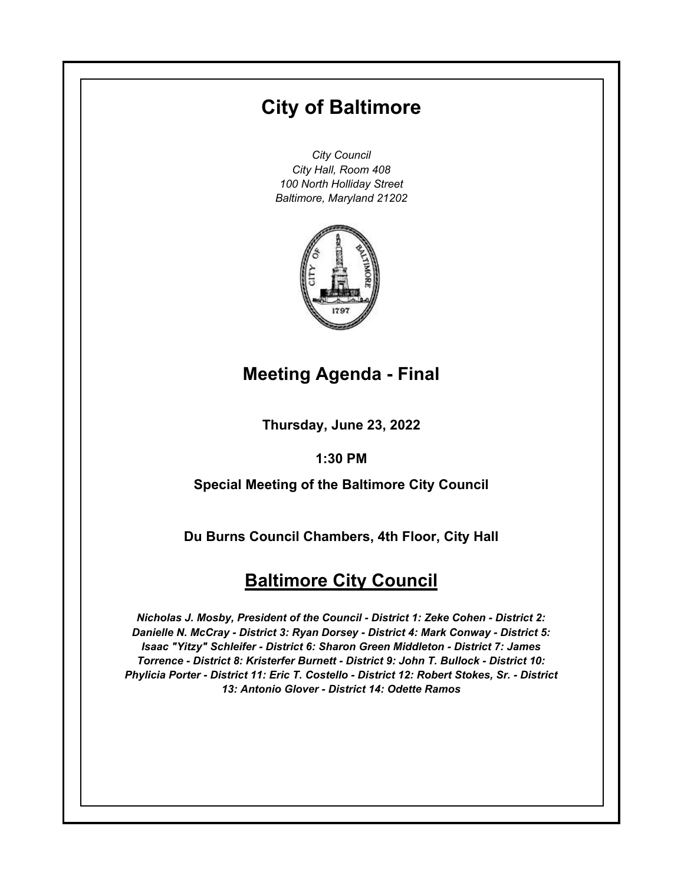# **City of Baltimore**

*City Council City Hall, Room 408 100 North Holliday Street Baltimore, Maryland 21202*



## **Meeting Agenda - Final**

**Thursday, June 23, 2022**

**1:30 PM**

**Special Meeting of the Baltimore City Council**

**Du Burns Council Chambers, 4th Floor, City Hall**

## **Baltimore City Council**

*Nicholas J. Mosby, President of the Council - District 1: Zeke Cohen - District 2: Danielle N. McCray - District 3: Ryan Dorsey - District 4: Mark Conway - District 5: Isaac "Yitzy" Schleifer - District 6: Sharon Green Middleton - District 7: James Torrence - District 8: Kristerfer Burnett - District 9: John T. Bullock - District 10: Phylicia Porter - District 11: Eric T. Costello - District 12: Robert Stokes, Sr. - District 13: Antonio Glover - District 14: Odette Ramos*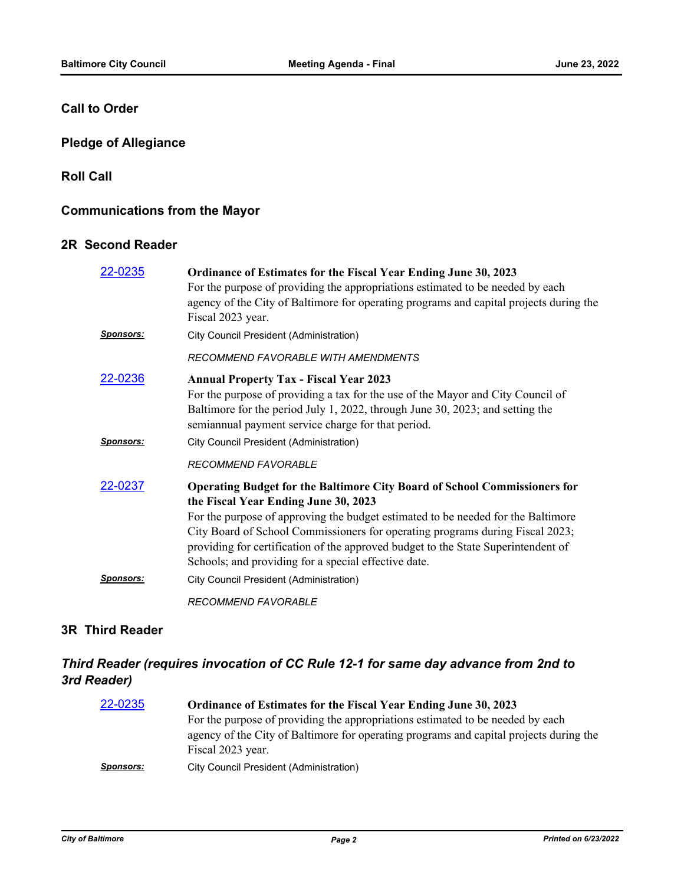#### **Call to Order**

## **Pledge of Allegiance**

**Roll Call**

## **Communications from the Mayor**

#### **2R Second Reader**

| 22-0235           | Ordinance of Estimates for the Fiscal Year Ending June 30, 2023<br>For the purpose of providing the appropriations estimated to be needed by each<br>agency of the City of Baltimore for operating programs and capital projects during the<br>Fiscal 2023 year.                                                                                                                                                                           |
|-------------------|--------------------------------------------------------------------------------------------------------------------------------------------------------------------------------------------------------------------------------------------------------------------------------------------------------------------------------------------------------------------------------------------------------------------------------------------|
| <b>Sponsors:</b>  | City Council President (Administration)                                                                                                                                                                                                                                                                                                                                                                                                    |
|                   | RECOMMEND FAVORABLE WITH AMENDMENTS                                                                                                                                                                                                                                                                                                                                                                                                        |
| 22-0236           | <b>Annual Property Tax - Fiscal Year 2023</b><br>For the purpose of providing a tax for the use of the Mayor and City Council of<br>Baltimore for the period July 1, 2022, through June 30, 2023; and setting the<br>semiannual payment service charge for that period.                                                                                                                                                                    |
| <u> Sponsors:</u> | City Council President (Administration)                                                                                                                                                                                                                                                                                                                                                                                                    |
|                   | <b>RECOMMEND FAVORABLE</b>                                                                                                                                                                                                                                                                                                                                                                                                                 |
| 22-0237           | <b>Operating Budget for the Baltimore City Board of School Commissioners for</b><br>the Fiscal Year Ending June 30, 2023<br>For the purpose of approving the budget estimated to be needed for the Baltimore<br>City Board of School Commissioners for operating programs during Fiscal 2023;<br>providing for certification of the approved budget to the State Superintendent of<br>Schools; and providing for a special effective date. |
| <u>Sponsors:</u>  | <b>City Council President (Administration)</b>                                                                                                                                                                                                                                                                                                                                                                                             |
|                   | <b>RECOMMEND FAVORABLE</b>                                                                                                                                                                                                                                                                                                                                                                                                                 |

## **3R Third Reader**

## *Third Reader (requires invocation of CC Rule 12-1 for same day advance from 2nd to 3rd Reader)*

| 22-0235          | Ordinance of Estimates for the Fiscal Year Ending June 30, 2023                        |
|------------------|----------------------------------------------------------------------------------------|
|                  | For the purpose of providing the appropriations estimated to be needed by each         |
|                  | agency of the City of Baltimore for operating programs and capital projects during the |
|                  | Fiscal 2023 year.                                                                      |
| <b>Sponsors:</b> | <b>City Council President (Administration)</b>                                         |